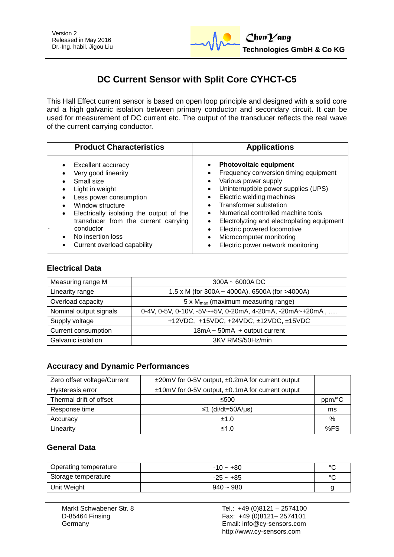

# **DC Current Sensor with Split Core CYHCT-C5**

This Hall Effect current sensor is based on open loop principle and designed with a solid core and a high galvanic isolation between primary conductor and secondary circuit. It can be used for measurement of DC current etc. The output of the transducer reflects the real wave of the current carrying conductor.

| <b>Product Characteristics</b>                                                                                                                                                                                                                                                | <b>Applications</b>                                                                                                                                                                                                                                                                                                                                                                                                                   |
|-------------------------------------------------------------------------------------------------------------------------------------------------------------------------------------------------------------------------------------------------------------------------------|---------------------------------------------------------------------------------------------------------------------------------------------------------------------------------------------------------------------------------------------------------------------------------------------------------------------------------------------------------------------------------------------------------------------------------------|
| Excellent accuracy<br>Very good linearity<br>Small size<br>Light in weight<br>Less power consumption<br>Window structure<br>Electrically isolating the output of the<br>transducer from the current carrying<br>conductor<br>No insertion loss<br>Current overload capability | <b>Photovoltaic equipment</b><br>Frequency conversion timing equipment<br>Various power supply<br>Uninterruptible power supplies (UPS)<br>$\bullet$<br>Electric welding machines<br>$\bullet$<br>Transformer substation<br>Numerical controlled machine tools<br>Electrolyzing and electroplating equipment<br>$\bullet$<br>Electric powered locomotive<br>$\bullet$<br>Microcomputer monitoring<br>Electric power network monitoring |

## **Electrical Data**

| Measuring range M      | $300A - 6000A DC$                                        |  |
|------------------------|----------------------------------------------------------|--|
| Linearity range        | 1.5 x M (for 300A ~ 4000A), 6500A (for >4000A)           |  |
| Overload capacity      | 5 x $M_{max}$ (maximum measuring range)                  |  |
| Nominal output signals | 0-4V, 0-5V, 0-10V, -5V~+5V, 0-20mA, 4-20mA, -20mA~+20mA, |  |
| Supply voltage         | +12VDC, +15VDC, +24VDC, ±12VDC, ±15VDC                   |  |
| Current consumption    | $18mA \sim 50mA + output current$                        |  |
| Galvanic isolation     | 3KV RMS/50Hz/min                                         |  |

## **Accuracy and Dynamic Performances**

| Zero offset voltage/Current | $\pm$ 20mV for 0-5V output, $\pm$ 0.2mA for current output |        |
|-----------------------------|------------------------------------------------------------|--------|
| Hysteresis error            | ±10mV for 0-5V output, ±0.1mA for current output           |        |
| Thermal drift of offset     | ≤500                                                       | ppm/°C |
| Response time               | ≤1 (di/dt=50A/µs)                                          | ms     |
| Accuracy                    | ±1.0                                                       | %      |
| Linearity                   | ≤1.0                                                       | %FS    |

# **General Data**

| Operating temperature | $-10 - +80$ | $\circ$ |
|-----------------------|-------------|---------|
| Storage temperature   | $-25 - +85$ | $\circ$ |
| Unit Weight           | $940 - 980$ |         |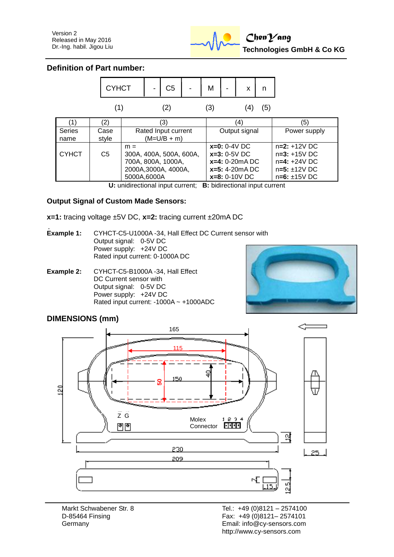

#### **Definition of Part number:**



**U:** unidirectional input current; **B:** bidirectional input current

#### **Output Signal of Custom Made Sensors:**

- **x=1:** tracing voltage ±5V DC, **x=2:** tracing current ±20mA DC
- **Example 1:** CYHCT-C5-U1000A -34, Hall Effect DC Current sensor with Output signal: 0-5V DC Power supply: +24V DC Rated input current: 0-1000A DC
- **Example 2:** CYHCT-C5-B1000A -34, Hall Effect DC Current sensor with Output signal: 0-5V DC Power supply: +24V DC Rated input current: -1000A ~ +1000ADC



## **DIMENSIONS (mm)**

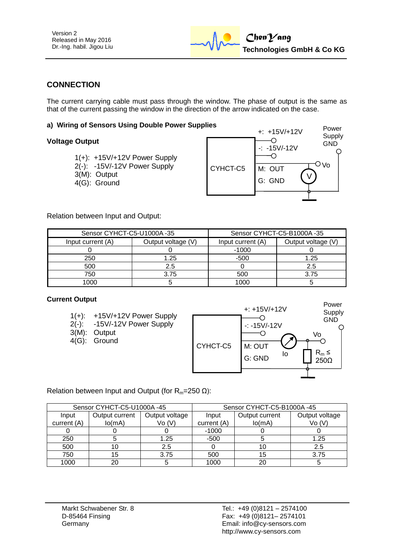

# **CONNECTION**

The current carrying cable must pass through the window. The phase of output is the same as that of the current passing the window in the direction of the arrow indicated on the case.

#### **a) Wiring of Sensors Using Double Power Supplies**

#### **Voltage Output**

| $1(+)$ : +15V/+12V Power Supply |
|---------------------------------|
| 2(-): -15V/-12V Power Supply    |
| 3(M): Output                    |
| 4(G): Ground                    |



Relation between Input and Output:

| Sensor CYHCT-C5-U1000A-35 |                    | Sensor CYHCT-C5-B1000A-35 |                    |  |
|---------------------------|--------------------|---------------------------|--------------------|--|
| Input current (A)         | Output voltage (V) | Input current (A)         | Output voltage (V) |  |
|                           |                    | $-1000$                   |                    |  |
| 250                       | 1.25               | $-500$                    | 1.25               |  |
| 500                       | 2.5                |                           | 2.5                |  |
| 750                       | 3.75               | 500                       | 3.75               |  |
| 1000                      |                    | LOOC                      |                    |  |

#### **Current Output**

- 1(+): +15V/+12V Power Supply
- 2(-): -15V/-12V Power Supply
- 3(M): Output
- 4(G): Ground



Relation between Input and Output (for  $R_m=250 \Omega$ ):

| Sensor CYHCT-C5-U1000A-45 |                |                | Sensor CYHCT-C5-B1000A-45 |                |                |
|---------------------------|----------------|----------------|---------------------------|----------------|----------------|
| Input                     | Output current | Output voltage | Input                     | Output current | Output voltage |
| current (A)               | lo(mA)         | Vo(V)          | current (A)               | lo(mA)         | Vo(V)          |
|                           |                |                | $-1000$                   |                |                |
| 250                       |                | 1.25           | -500                      |                | 1.25           |
| 500                       |                | 2.5            |                           |                | 2.5            |
| 750                       |                | 3.75           | 500                       | 15             | 3.75           |
| 1000                      | 20             |                | 1000                      | 20             |                |